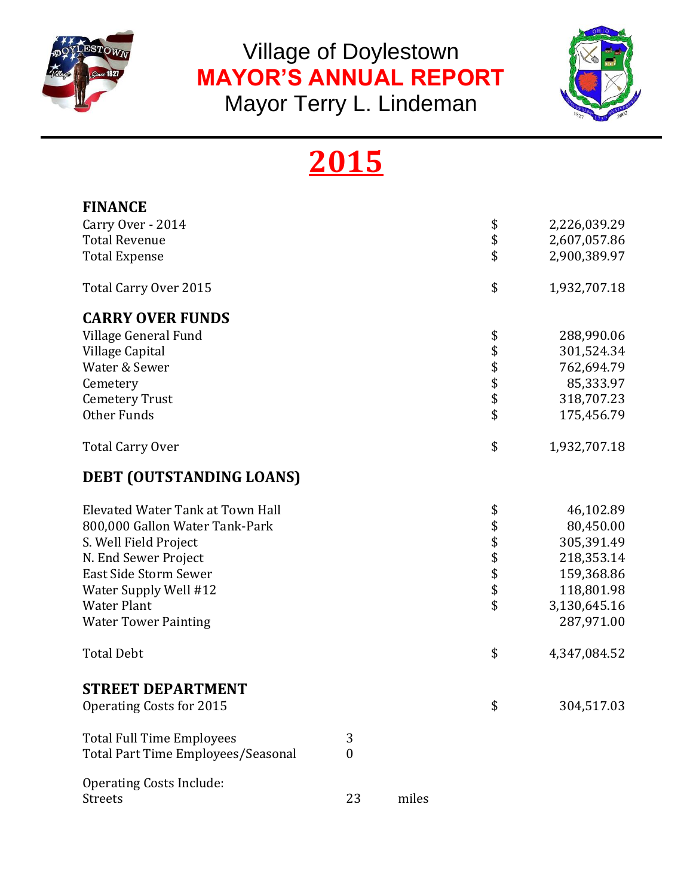

Village of Doylestown **MAYOR'S ANNUAL REPORT** 

Mayor Terry L. Lindeman



## **2015**

| <b>FINANCE</b>                     |                  |       |              |              |
|------------------------------------|------------------|-------|--------------|--------------|
| Carry Over - 2014                  |                  |       | \$           | 2,226,039.29 |
| <b>Total Revenue</b>               |                  |       | \$           | 2,607,057.86 |
| <b>Total Expense</b>               |                  |       | \$           | 2,900,389.97 |
| Total Carry Over 2015              |                  |       | \$           | 1,932,707.18 |
| <b>CARRY OVER FUNDS</b>            |                  |       |              |              |
| Village General Fund               |                  |       | \$           | 288,990.06   |
| Village Capital                    |                  |       |              | 301,524.34   |
| Water & Sewer                      |                  |       | \$\$\$\$\$   | 762,694.79   |
| Cemetery                           |                  |       |              | 85,333.97    |
| <b>Cemetery Trust</b>              |                  |       |              | 318,707.23   |
| Other Funds                        |                  |       |              | 175,456.79   |
| <b>Total Carry Over</b>            |                  |       | \$           | 1,932,707.18 |
| DEBT (OUTSTANDING LOANS)           |                  |       |              |              |
| Elevated Water Tank at Town Hall   |                  |       |              | 46,102.89    |
| 800,000 Gallon Water Tank-Park     |                  |       | \$\$\$\$\$\$ | 80,450.00    |
| S. Well Field Project              |                  |       |              | 305,391.49   |
| N. End Sewer Project               |                  |       |              | 218,353.14   |
| East Side Storm Sewer              |                  |       |              | 159,368.86   |
| Water Supply Well #12              |                  |       |              | 118,801.98   |
| <b>Water Plant</b>                 |                  |       | \$           | 3,130,645.16 |
| <b>Water Tower Painting</b>        |                  |       |              | 287,971.00   |
| <b>Total Debt</b>                  |                  |       | \$           | 4,347,084.52 |
| <b>STREET DEPARTMENT</b>           |                  |       |              |              |
| <b>Operating Costs for 2015</b>    |                  |       | \$           | 304,517.03   |
| <b>Total Full Time Employees</b>   | 3                |       |              |              |
| Total Part Time Employees/Seasonal | $\boldsymbol{0}$ |       |              |              |
| <b>Operating Costs Include:</b>    |                  |       |              |              |
| <b>Streets</b>                     | 23               | miles |              |              |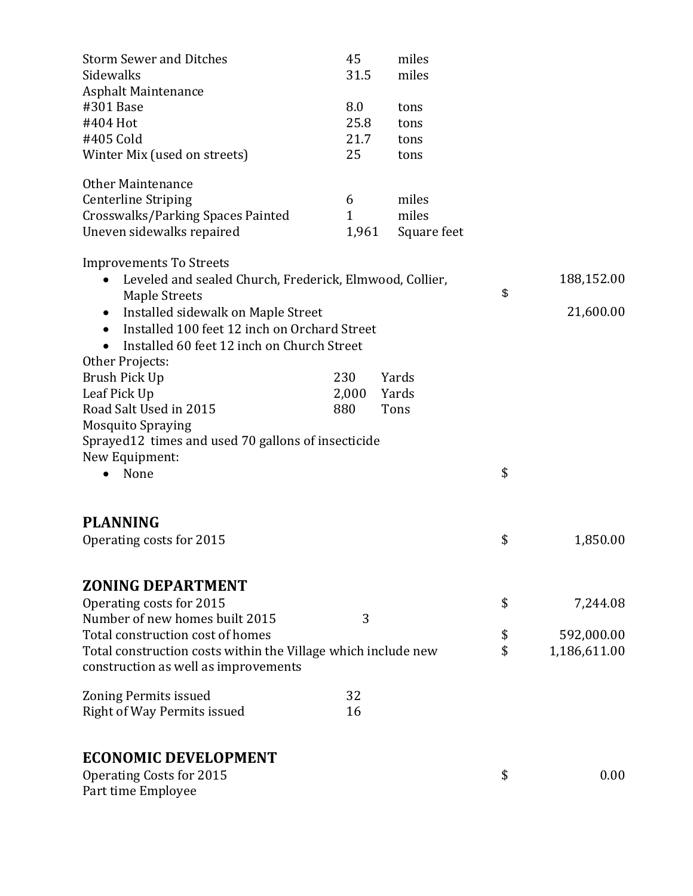| <b>Storm Sewer and Ditches</b>                                                                        | 45           | miles       |                    |
|-------------------------------------------------------------------------------------------------------|--------------|-------------|--------------------|
| Sidewalks                                                                                             | 31.5         | miles       |                    |
| <b>Asphalt Maintenance</b>                                                                            |              |             |                    |
| #301 Base                                                                                             | 8.0          | tons        |                    |
| #404 Hot                                                                                              | 25.8         | tons        |                    |
| #405 Cold                                                                                             | 21.7         | tons        |                    |
| Winter Mix (used on streets)                                                                          | 25           | tons        |                    |
| <b>Other Maintenance</b>                                                                              |              |             |                    |
| <b>Centerline Striping</b>                                                                            | 6            | miles       |                    |
| Crosswalks/Parking Spaces Painted                                                                     | $\mathbf{1}$ | miles       |                    |
| Uneven sidewalks repaired                                                                             | 1,961        | Square feet |                    |
| <b>Improvements To Streets</b>                                                                        |              |             |                    |
| Leveled and sealed Church, Frederick, Elmwood, Collier,<br>$\bullet$<br>Maple Streets                 |              |             | \$<br>188,152.00   |
| Installed sidewalk on Maple Street<br>$\bullet$                                                       |              |             | 21,600.00          |
| Installed 100 feet 12 inch on Orchard Street<br>$\bullet$                                             |              |             |                    |
| Installed 60 feet 12 inch on Church Street                                                            |              |             |                    |
| Other Projects:                                                                                       |              |             |                    |
| Brush Pick Up                                                                                         | 230          | Yards       |                    |
| Leaf Pick Up                                                                                          | 2,000        | Yards       |                    |
| Road Salt Used in 2015                                                                                | 880          | Tons        |                    |
| <b>Mosquito Spraying</b>                                                                              |              |             |                    |
| Sprayed 12 times and used 70 gallons of insecticide                                                   |              |             |                    |
| New Equipment:                                                                                        |              |             |                    |
| None                                                                                                  |              |             | \$                 |
|                                                                                                       |              |             |                    |
| <b>PLANNING</b>                                                                                       |              |             |                    |
| Operating costs for 2015                                                                              |              |             | \$<br>1,850.00     |
| <b>ZONING DEPARTMENT</b>                                                                              |              |             |                    |
|                                                                                                       |              |             | \$                 |
| Operating costs for 2015<br>Number of new homes built 2015                                            | 3            |             | 7,244.08           |
| Total construction cost of homes                                                                      |              |             |                    |
|                                                                                                       |              |             | \$<br>592,000.00   |
| Total construction costs within the Village which include new<br>construction as well as improvements |              |             | \$<br>1,186,611.00 |
| Zoning Permits issued                                                                                 | 32           |             |                    |
| Right of Way Permits issued                                                                           | 16           |             |                    |
| <b>ECONOMIC DEVELOPMENT</b>                                                                           |              |             |                    |
| <b>Operating Costs for 2015</b>                                                                       |              |             | \$<br>0.00         |
| Part time Employee                                                                                    |              |             |                    |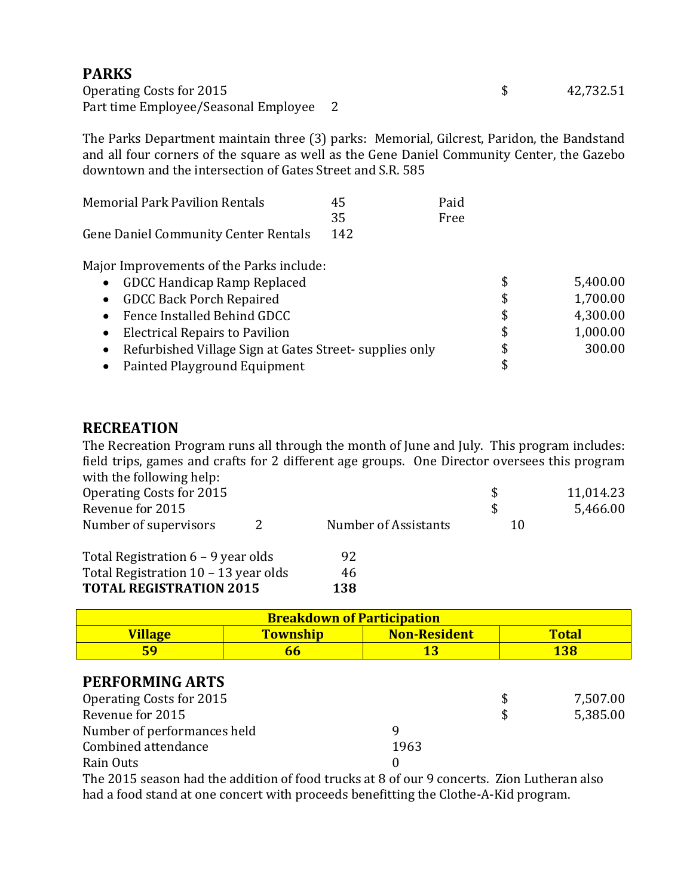## **PARKS**

Operating Costs for 2015  $\qquad \qquad$  42,732.51 Part time Employee/Seasonal Employee 2

The Parks Department maintain three (3) parks: Memorial, Gilcrest, Paridon, the Bandstand and all four corners of the square as well as the Gene Daniel Community Center, the Gazebo downtown and the intersection of Gates Street and S.R. 585

| <b>Memorial Park Pavilion Rentals</b> | 45  | Paid |
|---------------------------------------|-----|------|
|                                       | 35  | Free |
| Gene Daniel Community Center Rentals  | 142 |      |

Major Improvements of the Parks include:

| <b>GDCC Handicap Ramp Replaced</b><br>$\bullet$                     | 5,400.00       |
|---------------------------------------------------------------------|----------------|
| <b>GDCC Back Porch Repaired</b>                                     | \$<br>1,700.00 |
| Fence Installed Behind GDCC<br>$\bullet$                            | \$<br>4,300.00 |
| <b>Electrical Repairs to Pavilion</b>                               | \$<br>1,000.00 |
| Refurbished Village Sign at Gates Street-supplies only<br>$\bullet$ | \$<br>300.00   |
| Painted Playground Equipment                                        | \$             |

## **RECREATION**

The Recreation Program runs all through the month of June and July. This program includes: field trips, games and crafts for 2 different age groups. One Director oversees this program with the following help:

| Operating Costs for 2015<br>Revenue for 2015 |                      | \$<br>\$ | 11,014.23<br>5,466.00 |
|----------------------------------------------|----------------------|----------|-----------------------|
| Number of supervisors<br>2                   | Number of Assistants | 10       |                       |
| Total Registration 6 – 9 year olds           | 92                   |          |                       |
| Total Registration 10 – 13 year olds         | 46                   |          |                       |
| <b>TOTAL REGISTRATION 2015</b>               | 138                  |          |                       |

| <b>Breakdown of Participation</b>                                        |    |  |     |  |  |
|--------------------------------------------------------------------------|----|--|-----|--|--|
| <b>Township</b><br><b>Total</b><br><b>Non-Resident</b><br><u>Village</u> |    |  |     |  |  |
| 59                                                                       | hh |  | 138 |  |  |
| PERFORMING ARTS                                                          |    |  |     |  |  |

| PERFURMING ARIS                                  |      |     |          |
|--------------------------------------------------|------|-----|----------|
| Operating Costs for 2015                         |      | S   | 7,507.00 |
| Revenue for 2015                                 |      | \$. | 5,385.00 |
| Number of performances held                      |      |     |          |
| Combined attendance                              | 1963 |     |          |
| Rain Outs                                        |      |     |          |
| $\sim$ $\sim$ $\sim$ $\sim$ $\sim$ $\sim$<br>--- |      |     |          |

The 2015 season had the addition of food trucks at 8 of our 9 concerts. Zion Lutheran also had a food stand at one concert with proceeds benefitting the Clothe-A-Kid program.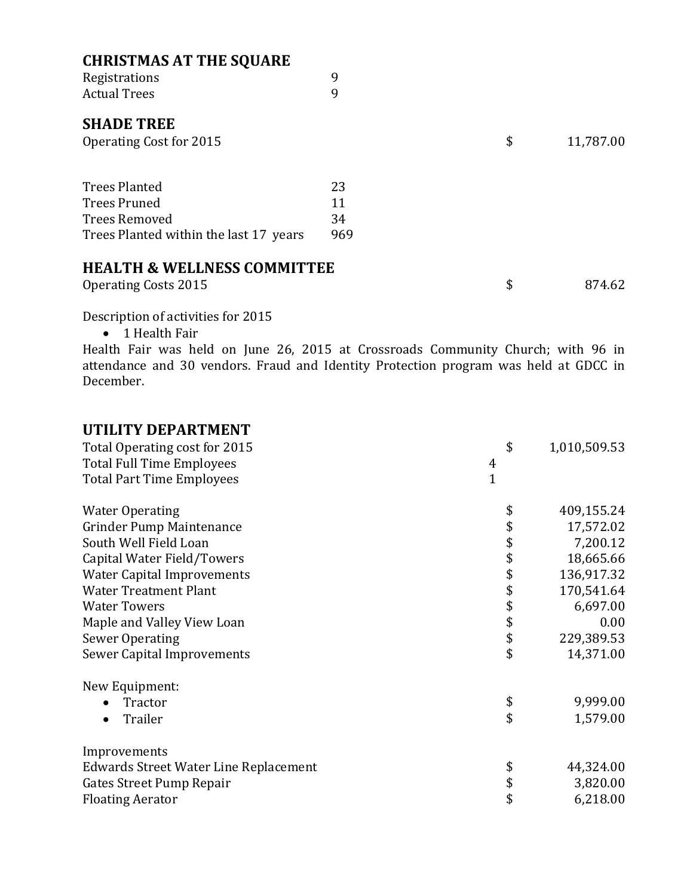| <b>CHRISTMAS AT THE SQUARE</b>         |     |    |           |
|----------------------------------------|-----|----|-----------|
| Registrations                          | 9   |    |           |
| <b>Actual Trees</b>                    | 9   |    |           |
| <b>SHADE TREE</b>                      |     |    |           |
| Operating Cost for 2015                |     | \$ | 11,787.00 |
|                                        |     |    |           |
| <b>Trees Planted</b>                   | 23  |    |           |
| <b>Trees Pruned</b>                    | 11  |    |           |
| <b>Trees Removed</b>                   | 34  |    |           |
| Trees Planted within the last 17 years | 969 |    |           |
| <b>HEALTH &amp; WELLNESS COMMITTEE</b> |     |    |           |
| <b>Operating Costs 2015</b>            |     | \$ | 874.62    |

Description of activities for 2015

• 1 Health Fair

Health Fair was held on June 26, 2015 at Crossroads Community Church; with 96 in attendance and 30 vendors. Fraud and Identity Protection program was held at GDCC in December.

## **UTILITY DEPARTMENT**

| Total Operating cost for 2015         | \$             | 1,010,509.53 |
|---------------------------------------|----------------|--------------|
| <b>Total Full Time Employees</b>      | $\overline{4}$ |              |
| <b>Total Part Time Employees</b>      | $\overline{1}$ |              |
| <b>Water Operating</b>                | \$             | 409,155.24   |
| Grinder Pump Maintenance              | \$             | 17,572.02    |
| South Well Field Loan                 |                | 7,200.12     |
| Capital Water Field/Towers            |                | 18,665.66    |
| <b>Water Capital Improvements</b>     | \$\$\$         | 136,917.32   |
| <b>Water Treatment Plant</b>          |                | 170,541.64   |
| <b>Water Towers</b>                   | \$\$\$\$       | 6,697.00     |
| Maple and Valley View Loan            |                | 0.00         |
| <b>Sewer Operating</b>                |                | 229,389.53   |
| Sewer Capital Improvements            | \$             | 14,371.00    |
| New Equipment:                        |                |              |
| Tractor                               | \$             | 9,999.00     |
| Trailer<br>$\bullet$                  | \$             | 1,579.00     |
| Improvements                          |                |              |
| Edwards Street Water Line Replacement | \$             | 44,324.00    |
| Gates Street Pump Repair              | \$             | 3,820.00     |
| <b>Floating Aerator</b>               | \$             | 6,218.00     |